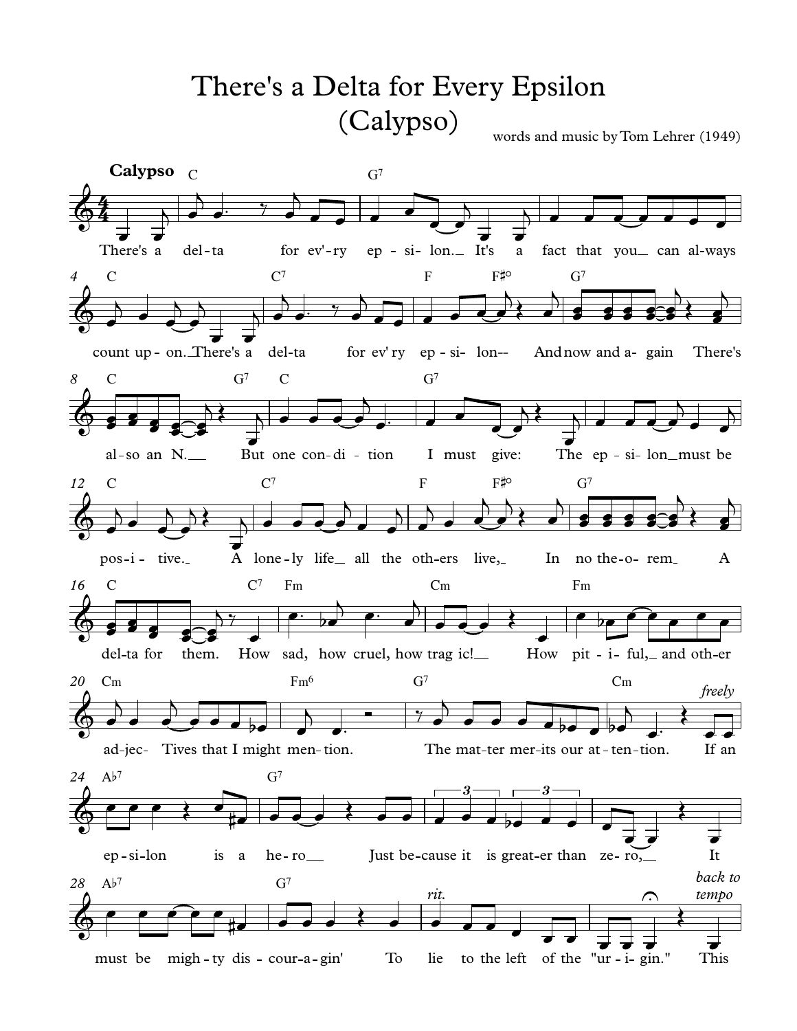## There's a Delta for Every Epsilon (Calypso)

words and music by Tom Lehrer (1949)